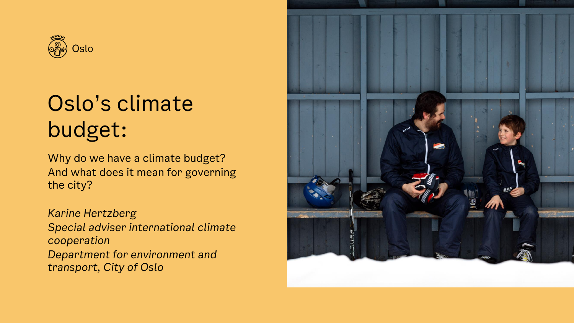

# Oslo's climate budget:

Why do we have a climate budget? And what does it mean for governing the city?

*Karine Hertzberg Special adviser international climate cooperation Department for environment and transport, City of Oslo*

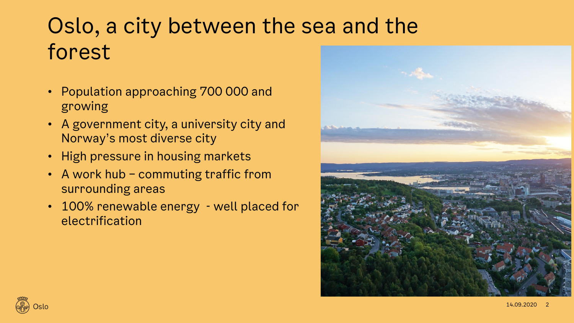## Oslo, a city between the sea and the forest

- Population approaching 700 000 and growing
- A government city, a university city and Norway's most diverse city
- High pressure in housing markets
- A work hub commuting traffic from surrounding areas
- 100% renewable energy well placed for electrification



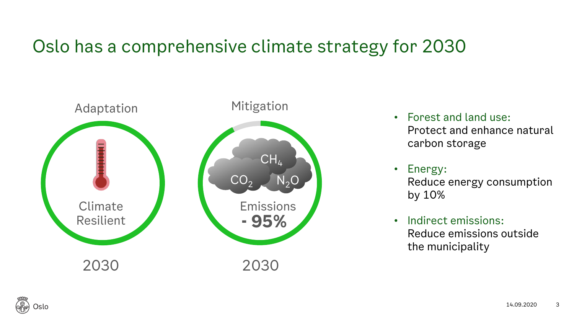### Oslo has a comprehensive climate strategy for 2030



- Forest and land use: Protect and enhance natural carbon storage
- Energy: Reduce energy consumption by 10%
- Indirect emissions: Reduce emissions outside the municipality

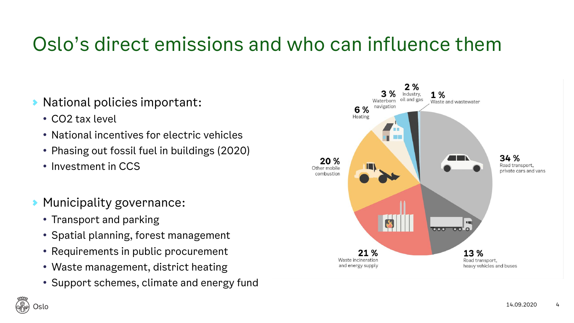### Oslo's direct emissions and who can influence them

- National policies important:  $\blacktriangleright$ 
	- CO2 tax level
	- National incentives for electric vehicles
	- Phasing out fossil fuel in buildings (2020)
	- Investment in CCS
- Municipality governance:
	- Transport and parking
	- Spatial planning, forest management
	- Requirements in public procurement
	- Waste management, district heating
	- Support schemes, climate and energy fund



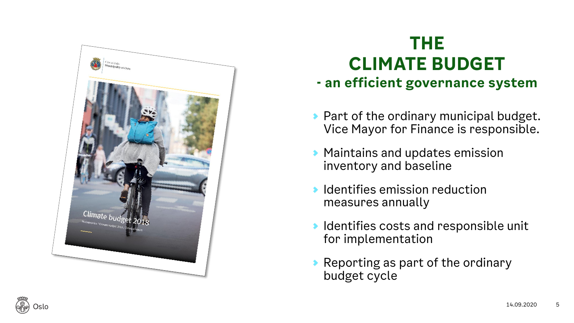

#### **THE CLIMATE BUDGET - an efficient governance system**

- **Part of the ordinary municipal budget.** Vice Mayor for Finance is responsible.
- **Maintains and updates emission** inventory and baseline
- $\bullet$  Identifies emission reduction measures annually
- $\blacktriangleright$  Identifies costs and responsible unit for implementation
- **Reporting as part of the ordinary** budget cycle

![](_page_4_Picture_7.jpeg)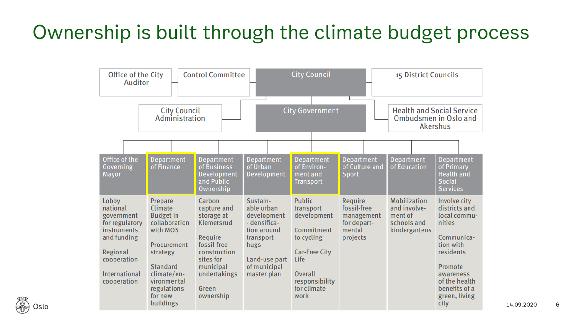## Ownership is built through the climate budget process

![](_page_5_Figure_1.jpeg)

Oslo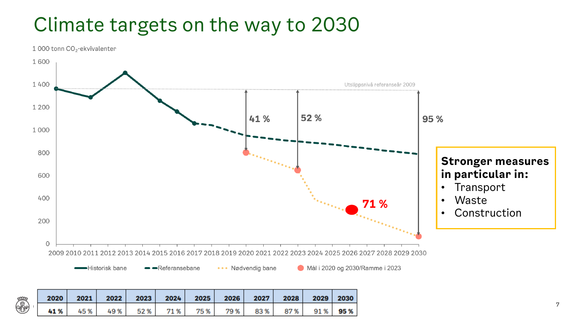### Climate targets on the way to 2030

1 000 tonn CO<sub>2</sub>-ekvivalenter

![](_page_6_Figure_2.jpeg)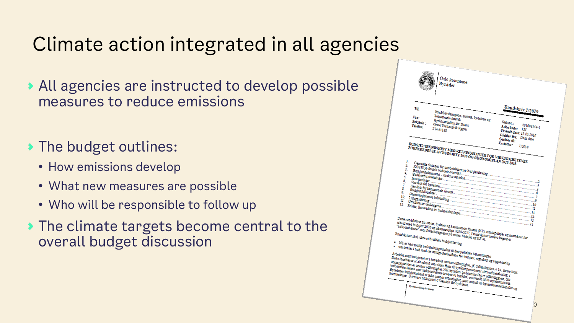### Climate action integrated in all agencies

All agencies are instructed to develop possible measures to reduce emissions

- ◆ The budget outlines:
	- How emissions develop
	- What new measures are possible
	- Who will be responsible to follow up
- The climate targets become central to the overall budget discussion

|         |                       | Byradet                                                        | Oslo kommune                                                                                                                                                                                                                                                                                                                                                                                                                                                                                                                                                                                                                                                                                                                                                                                                                                                                                                                                                                                                                                                                                                                                                                                                                                                              |                            |                          |  |
|---------|-----------------------|----------------------------------------------------------------|---------------------------------------------------------------------------------------------------------------------------------------------------------------------------------------------------------------------------------------------------------------------------------------------------------------------------------------------------------------------------------------------------------------------------------------------------------------------------------------------------------------------------------------------------------------------------------------------------------------------------------------------------------------------------------------------------------------------------------------------------------------------------------------------------------------------------------------------------------------------------------------------------------------------------------------------------------------------------------------------------------------------------------------------------------------------------------------------------------------------------------------------------------------------------------------------------------------------------------------------------------------------------|----------------------------|--------------------------|--|
|         | Tīl-                  |                                                                |                                                                                                                                                                                                                                                                                                                                                                                                                                                                                                                                                                                                                                                                                                                                                                                                                                                                                                                                                                                                                                                                                                                                                                                                                                                                           |                            | Rundskriv 1/2019         |  |
|         |                       |                                                                | Byrådsavdelingene, etatene, bydelene og                                                                                                                                                                                                                                                                                                                                                                                                                                                                                                                                                                                                                                                                                                                                                                                                                                                                                                                                                                                                                                                                                                                                                                                                                                   |                            |                          |  |
|         | Fra:                  | kommunale foretak                                              |                                                                                                                                                                                                                                                                                                                                                                                                                                                                                                                                                                                                                                                                                                                                                                                                                                                                                                                                                                                                                                                                                                                                                                                                                                                                           |                            |                          |  |
|         | Saksbeh.:<br>Telefon: | Byrådsavdeling for finans<br>Grete Varhaugvik Eggen            |                                                                                                                                                                                                                                                                                                                                                                                                                                                                                                                                                                                                                                                                                                                                                                                                                                                                                                                                                                                                                                                                                                                                                                                                                                                                           | Saksnr.:                   | 201808154-1              |  |
|         |                       | 234 61188                                                      |                                                                                                                                                                                                                                                                                                                                                                                                                                                                                                                                                                                                                                                                                                                                                                                                                                                                                                                                                                                                                                                                                                                                                                                                                                                                           | Arkivkode: 121             | Utsendt dato: 13.03.2019 |  |
|         |                       |                                                                |                                                                                                                                                                                                                                                                                                                                                                                                                                                                                                                                                                                                                                                                                                                                                                                                                                                                                                                                                                                                                                                                                                                                                                                                                                                                           | Gjelder fra: Dags dato     |                          |  |
|         |                       |                                                                |                                                                                                                                                                                                                                                                                                                                                                                                                                                                                                                                                                                                                                                                                                                                                                                                                                                                                                                                                                                                                                                                                                                                                                                                                                                                           | Gjelder til:<br>Erstatter: |                          |  |
|         |                       |                                                                |                                                                                                                                                                                                                                                                                                                                                                                                                                                                                                                                                                                                                                                                                                                                                                                                                                                                                                                                                                                                                                                                                                                                                                                                                                                                           |                            | 1/2018                   |  |
|         |                       |                                                                | BUDSJETTRUNDSKRIV MED RETNINGSLINJER FOR VIRKSOMHETENES<br>DOROGALINGSMOARER SEGLAG ENGINEERING E VIR TARASOSHIRE.<br>FORBEREDELSE AV BUDSJETT 2020 OG OKONOMIPLAN 2020-2023                                                                                                                                                                                                                                                                                                                                                                                                                                                                                                                                                                                                                                                                                                                                                                                                                                                                                                                                                                                                                                                                                              |                            |                          |  |
|         |                       |                                                                |                                                                                                                                                                                                                                                                                                                                                                                                                                                                                                                                                                                                                                                                                                                                                                                                                                                                                                                                                                                                                                                                                                                                                                                                                                                                           |                            |                          |  |
|         | L<br>2.               |                                                                |                                                                                                                                                                                                                                                                                                                                                                                                                                                                                                                                                                                                                                                                                                                                                                                                                                                                                                                                                                                                                                                                                                                                                                                                                                                                           |                            |                          |  |
| 3.      |                       |                                                                |                                                                                                                                                                                                                                                                                                                                                                                                                                                                                                                                                                                                                                                                                                                                                                                                                                                                                                                                                                                                                                                                                                                                                                                                                                                                           |                            |                          |  |
| 4<br>5  |                       |                                                                | $\textbf{But a given number of the number of possible functions, the number of possible functions, the number of possible functions, the number of possible functions, the number of possible functions, the number of possible functions, the number of possible functions, the number of possible functions, the number of possible functions, the number of possible functions, the number of possible functions, the number of possible functions, the number of possible functions, the number of possible functions, the number of possible functions, the number of possible functions, the number of possible functions, the number of possible functions, the number of possible functions, the number of possible functions, the number of possible functions, the number of possible functions, the number of possible functions, the number of possible functions, the number of possible functions, the number of possible functions, the number of possible functions, the number of possible functions, the number of possible functions, the number of possible functions, the number of possible functions, the number of possible functions, the number of possible functions, the number of possible functions, the number of possible functions, the$ |                            |                          |  |
| б.      |                       |                                                                |                                                                                                                                                                                                                                                                                                                                                                                                                                                                                                                                                                                                                                                                                                                                                                                                                                                                                                                                                                                                                                                                                                                                                                                                                                                                           |                            |                          |  |
| 7<br>8. |                       |                                                                |                                                                                                                                                                                                                                                                                                                                                                                                                                                                                                                                                                                                                                                                                                                                                                                                                                                                                                                                                                                                                                                                                                                                                                                                                                                                           |                            |                          |  |
| 9.      |                       |                                                                | <b>Budgetfill and avenue in the contract of the component of the contract of the contract of the contract of the contract of the contract of the contract of the contract of the contract of the contract of the contract of the</b>                                                                                                                                                                                                                                                                                                                                                                                                                                                                                                                                                                                                                                                                                                                                                                                                                                                                                                                                                                                                                                      |                            |                          |  |
|         |                       |                                                                |                                                                                                                                                                                                                                                                                                                                                                                                                                                                                                                                                                                                                                                                                                                                                                                                                                                                                                                                                                                                                                                                                                                                                                                                                                                                           |                            |                          |  |
|         |                       | 11. Utfylling av vedleggene                                    |                                                                                                                                                                                                                                                                                                                                                                                                                                                                                                                                                                                                                                                                                                                                                                                                                                                                                                                                                                                                                                                                                                                                                                                                                                                                           |                            |                          |  |
|         |                       |                                                                |                                                                                                                                                                                                                                                                                                                                                                                                                                                                                                                                                                                                                                                                                                                                                                                                                                                                                                                                                                                                                                                                                                                                                                                                                                                                           |                            |                          |  |
|         |                       |                                                                | 5. US CALL SERVICE CONTRACT DESCRIPTION CONTRACT DE LA CONTRACT DE LA CONTRACT DE LA CONTRACT DE LA CONTRACT DE LA CONTRACT DE LA CONTRACT DE LA CONTRACT DE LA CONTRACT DE LA CONTRACT DE LA CONTRACT DE LA CONTRACT DE LA C                                                                                                                                                                                                                                                                                                                                                                                                                                                                                                                                                                                                                                                                                                                                                                                                                                                                                                                                                                                                                                             |                            |                          |  |
|         |                       |                                                                | $\begin{minipage}{0.9\linewidth} \textbf{12.} \end{minipage} \begin{minipage}{0.9\linewidth} \textbf{24.} \end{minipage} \begin{minipage}{0.9\linewidth} \textbf{25.} \end{minipage} \begin{minipage}{0.9\linewidth} \textbf{26.} \end{minipage} \begin{minipage}{0.9\linewidth} \textbf{27.} \end{minipage} \begin{minipage}{0.9\linewidth} \textbf{28.} \end{minipage} \begin{minipage}{0.9\linewidth} \textbf{29.} \end{minipage} \begin{minipage}{0.9\linewidth} \textbf{20.} \end{$                                                                                                                                                                                                                                                                                                                                                                                                                                                                                                                                                                                                                                                                                                                                                                                  |                            |                          |  |
|         |                       |                                                                | Dene Hamsnarsver gu vnorer, vyuenes og avanaminare sorena (sur ), svangessanger og sar<br>arbeid med budsjett 2020 og okonomiplan 2020-2023. I nundskrivet brukes begrepet<br>haddanna denne som som som skore med som bandelen og v                                                                                                                                                                                                                                                                                                                                                                                                                                                                                                                                                                                                                                                                                                                                                                                                                                                                                                                                                                                                                                      |                            |                          |  |
|         |                       |                                                                | a vene even vansjen zvzv ve sa vavannag zvzvrzvzv. 2 samsa svev<br>"virksomhetene" som fellesbetegnelse på etater, bydeler og KF'er.                                                                                                                                                                                                                                                                                                                                                                                                                                                                                                                                                                                                                                                                                                                                                                                                                                                                                                                                                                                                                                                                                                                                      |                            |                          |  |
|         |                       | Rundskrivet skal sikre at byrådets budsjettforslag             |                                                                                                                                                                                                                                                                                                                                                                                                                                                                                                                                                                                                                                                                                                                                                                                                                                                                                                                                                                                                                                                                                                                                                                                                                                                                           |                            |                          |  |
|         |                       |                                                                |                                                                                                                                                                                                                                                                                                                                                                                                                                                                                                                                                                                                                                                                                                                                                                                                                                                                                                                                                                                                                                                                                                                                                                                                                                                                           |                            |                          |  |
|         |                       |                                                                | $\bullet$ blir et best mulig beslutningsgrunnlag til den politiske behandlingen                                                                                                                                                                                                                                                                                                                                                                                                                                                                                                                                                                                                                                                                                                                                                                                                                                                                                                                                                                                                                                                                                                                                                                                           |                            |                          |  |
|         |                       |                                                                |                                                                                                                                                                                                                                                                                                                                                                                                                                                                                                                                                                                                                                                                                                                                                                                                                                                                                                                                                                                                                                                                                                                                                                                                                                                                           |                            |                          |  |
|         |                       |                                                                | o - Dua er vesa antas vesantatges promants ni uen potatisme ventosantational.<br>• - utarbeides i tråd med de statlige forskriftene for budsjett, regniskap og rapportering<br>Arbeidet med budsjettet er i hovedsak unntatt offentlighet, jf. Offentleglova § 14. første ledd.                                                                                                                                                                                                                                                                                                                                                                                                                                                                                                                                                                                                                                                                                                                                                                                                                                                                                                                                                                                           |                            |                          |  |
|         |                       |                                                                |                                                                                                                                                                                                                                                                                                                                                                                                                                                                                                                                                                                                                                                                                                                                                                                                                                                                                                                                                                                                                                                                                                                                                                                                                                                                           |                            |                          |  |
|         |                       |                                                                |                                                                                                                                                                                                                                                                                                                                                                                                                                                                                                                                                                                                                                                                                                                                                                                                                                                                                                                                                                                                                                                                                                                                                                                                                                                                           |                            |                          |  |
|         |                       |                                                                | Continues assess worstgeners on a service season constant of the bureauto-group of 17, 201312<br>Defie impediated at all arbeid som skjer frem til byrådet presenterer sitt buddjettforslag, i<br>Arbeid in the season of the season                                                                                                                                                                                                                                                                                                                                                                                                                                                                                                                                                                                                                                                                                                                                                                                                                                                                                                                                                                                                                                      |                            |                          |  |
|         |                       | investeringer. Det vises til kapittel 6 Særskilt for bydelene. | Arene Malevon et at the arrest some sayer arent to try and it trendences set outsystems.<br>Ugangspunktet er unntatt offentlighet. Når byrådets budsjettinslag er offentliggjort, blir<br>had de setting arene some some states in t<br>ougaugsportatsi er unnunt ornenmenet ivar oyiaaets ougsjettaarsag er onenmiggivn, omr.<br>budsjettforslagene som virksomhetene leverer til byrådet, oversendt til bystyrekomiteene.<br>Pastalant by styrekomiteene.<br>ouasyenstossusgene sean vanstancemene sevenen in 1910 openeer, overseans in 1730 premonineers.<br>Bydelenes budsjettarbeid er ikke unntatt offentlighet, med unntak av bydenfattende kapitler og<br>internationale Francisco 431 km/                                                                                                                                                                                                                                                                                                                                                                                                                                                                                                                                                                       |                            |                          |  |
|         |                       |                                                                |                                                                                                                                                                                                                                                                                                                                                                                                                                                                                                                                                                                                                                                                                                                                                                                                                                                                                                                                                                                                                                                                                                                                                                                                                                                                           |                            |                          |  |
|         |                       |                                                                |                                                                                                                                                                                                                                                                                                                                                                                                                                                                                                                                                                                                                                                                                                                                                                                                                                                                                                                                                                                                                                                                                                                                                                                                                                                                           |                            |                          |  |
|         |                       |                                                                |                                                                                                                                                                                                                                                                                                                                                                                                                                                                                                                                                                                                                                                                                                                                                                                                                                                                                                                                                                                                                                                                                                                                                                                                                                                                           |                            |                          |  |
|         |                       |                                                                |                                                                                                                                                                                                                                                                                                                                                                                                                                                                                                                                                                                                                                                                                                                                                                                                                                                                                                                                                                                                                                                                                                                                                                                                                                                                           |                            |                          |  |
|         |                       |                                                                |                                                                                                                                                                                                                                                                                                                                                                                                                                                                                                                                                                                                                                                                                                                                                                                                                                                                                                                                                                                                                                                                                                                                                                                                                                                                           |                            |                          |  |
|         |                       |                                                                |                                                                                                                                                                                                                                                                                                                                                                                                                                                                                                                                                                                                                                                                                                                                                                                                                                                                                                                                                                                                                                                                                                                                                                                                                                                                           |                            |                          |  |
|         |                       |                                                                |                                                                                                                                                                                                                                                                                                                                                                                                                                                                                                                                                                                                                                                                                                                                                                                                                                                                                                                                                                                                                                                                                                                                                                                                                                                                           |                            |                          |  |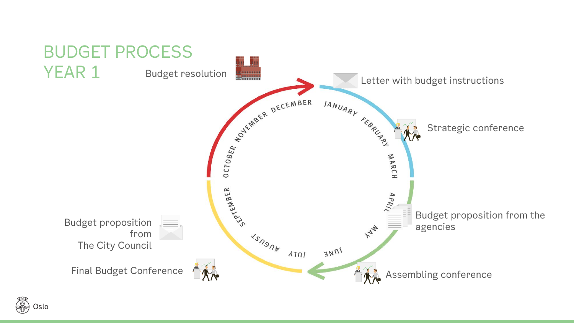![](_page_8_Figure_0.jpeg)

![](_page_8_Picture_1.jpeg)